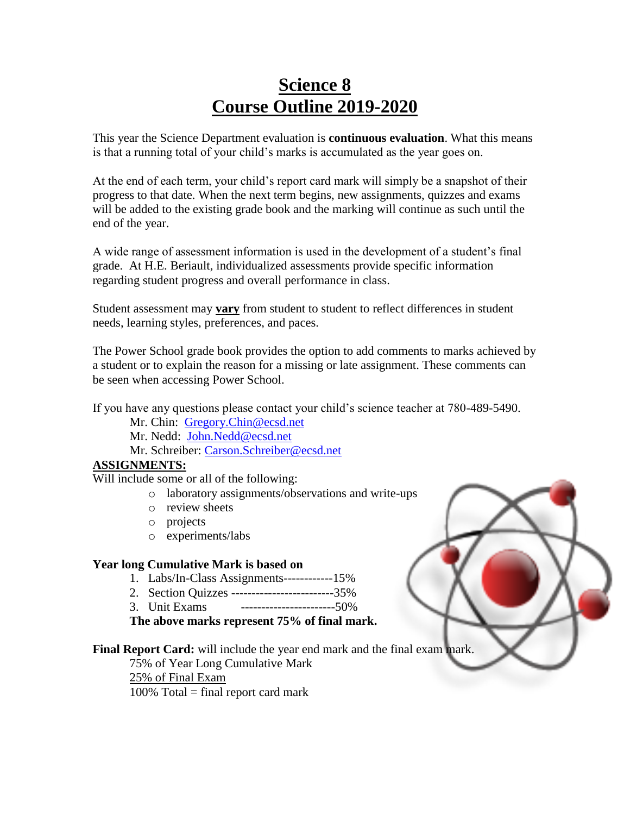# **Science 8 Course Outline 2019-2020**

This year the Science Department evaluation is **continuous evaluation**. What this means is that a running total of your child's marks is accumulated as the year goes on.

At the end of each term, your child's report card mark will simply be a snapshot of their progress to that date. When the next term begins, new assignments, quizzes and exams will be added to the existing grade book and the marking will continue as such until the end of the year.

A wide range of assessment information is used in the development of a student's final grade. At H.E. Beriault, individualized assessments provide specific information regarding student progress and overall performance in class.

Student assessment may **vary** from student to student to reflect differences in student needs, learning styles, preferences, and paces.

The Power School grade book provides the option to add comments to marks achieved by a student or to explain the reason for a missing or late assignment. These comments can be seen when accessing Power School.

If you have any questions please contact your child's science teacher at 780-489-5490.

Mr. Chin: [Gregory.Chin@ecsd.net](mailto:Gregory.Chin@ecsd.net)

Mr. Nedd: [John.Nedd@ecsd.net](mailto:Gregory.Chin@ecsd.net)

Mr. Schreiber: [Carson.Schreiber@ecsd.net](mailto:Nicole.Danzo@ecsd.net)

### **ASSIGNMENTS:**

Will include some or all of the following:

- o laboratory assignments/observations and write-ups
- o review sheets
- o projects
- o experiments/labs

### **Year long Cumulative Mark is based on**

- 1. Labs/In-Class Assignments------------15%
- 2. Section Quizzes -------------------------35%
- 3. Unit Exams -----------------------50%

**The above marks represent 75% of final mark.**

### **Final Report Card:** will include the year end mark and the final exam mark.

75% of Year Long Cumulative Mark

25% of Final Exam

 $100\%$  Total = final report card mark